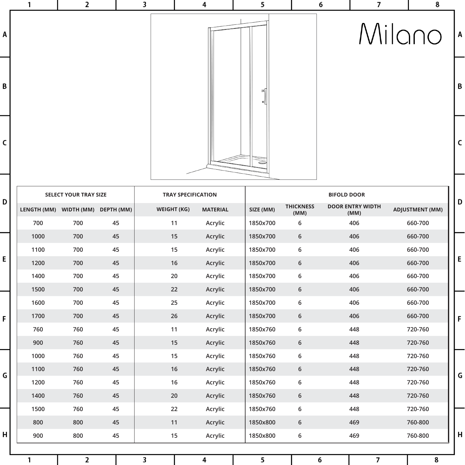

| D |             |            |            |                    |                 |           |                          |                                 |                        |  |  |  |
|---|-------------|------------|------------|--------------------|-----------------|-----------|--------------------------|---------------------------------|------------------------|--|--|--|
|   | LENGTH (MM) | WIDTH (MM) | DEPTH (MM) | <b>WEIGHT (KG)</b> | <b>MATERIAL</b> | SIZE (MM) | <b>THICKNESS</b><br>(MM) | <b>DOOR ENTRY WIDTH</b><br>(MM) | <b>ADJUSTMENT (MM)</b> |  |  |  |
|   | 700         | 700        | 45         | 11                 | Acrylic         | 1850x700  | 6                        | 406                             | 660-700                |  |  |  |
| E | 1000        | 700        | 45         | 15                 | <b>Acrylic</b>  | 1850x700  | $6\,$                    | 406                             | 660-700                |  |  |  |
|   | 1100        | 700        | 45         | 15                 | Acrylic         | 1850x700  | 6                        | 406                             | 660-700                |  |  |  |
|   | 1200        | 700        | 45         | 16                 | <b>Acrylic</b>  | 1850x700  | 6                        | 406                             | 660-700                |  |  |  |
|   | 1400        | 700        | 45         | 20                 | Acrylic         | 1850x700  | 6                        | 406                             | 660-700                |  |  |  |
|   | 1500        | 700        | 45         | 22                 | Acrylic         | 1850x700  | $6\,$                    | 406                             | 660-700                |  |  |  |
|   | 1600        | 700        | 45         | 25                 | Acrylic         | 1850x700  | 6                        | 406                             | 660-700                |  |  |  |
| F | 1700        | 700        | 45         | 26                 | <b>Acrylic</b>  | 1850x700  | 6                        | 406                             | 660-700                |  |  |  |
|   | 760         | 760        | 45         | 11                 | Acrylic         | 1850x760  | 6                        | 448                             | 720-760                |  |  |  |
|   | 900         | 760        | 45         | 15                 | Acrylic         | 1850x760  | $6\,$                    | 448                             | 720-760                |  |  |  |
| G | 1000        | 760        | 45         | 15                 | Acrylic         | 1850x760  | 6                        | 448                             | 720-760                |  |  |  |
|   | 1100        | 760        | 45         | 16                 | <b>Acrylic</b>  | 1850x760  | 6                        | 448                             | 720-760                |  |  |  |
|   | 1200        | 760        | 45         | 16                 | Acrylic         | 1850x760  | 6                        | 448                             | 720-760                |  |  |  |
|   | 1400        | 760        | 45         | 20                 | <b>Acrylic</b>  | 1850x760  | 6                        | 448                             | 720-760                |  |  |  |
|   | 1500        | 760        | 45         | 22                 | Acrylic         | 1850x760  | 6                        | 448                             | 720-760                |  |  |  |
| H | 800         | 800        | 45         | 11                 | Acrylic         | 1850x800  | 6                        | 469                             | 760-800                |  |  |  |
|   | 900         | 800        | 45         | 15                 | Acrylic         | 1850x800  | 6                        | 469                             | 760-800                |  |  |  |
|   |             |            |            |                    |                 |           |                          |                                 |                        |  |  |  |
| 1 |             | 2          |            | 3                  | 4               | 5         |                          | 7<br>6                          | 8                      |  |  |  |

E

F

G

 $\overline{H}$